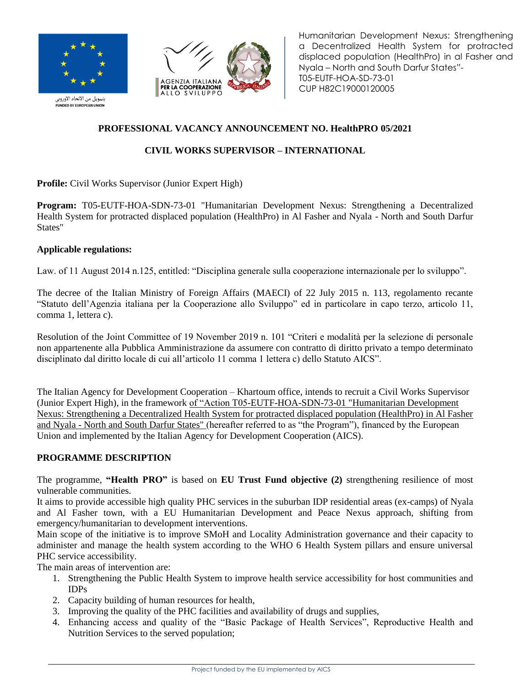



Humanitarian Development Nexus: Strengthening a Decentralized Health System for protracted displaced population (HealthPro) in al Fasher and Nyala – North and South Darfur States"- T05-EUTF-HOA-SD-73-01 CUP H82C19000120005

.<br>بتمويل من الاتحاد الأوروبي **NDED BY EUROPEAN UNION** 

# **PROFESSIONAL VACANCY ANNOUNCEMENT NO. HealthPRO 05/2021**

# **CIVIL WORKS SUPERVISOR – INTERNATIONAL**

**Profile:** Civil Works Supervisor (Junior Expert High)

**Program:** T05-EUTF-HOA-SDN-73-01 "Humanitarian Development Nexus: Strengthening a Decentralized Health System for protracted displaced population (HealthPro) in Al Fasher and Nyala - North and South Darfur States"

### **Applicable regulations:**

Law. of 11 August 2014 n.125, entitled: "Disciplina generale sulla cooperazione internazionale per lo sviluppo".

The decree of the Italian Ministry of Foreign Affairs (MAECI) of 22 July 2015 n. 113, regolamento recante "Statuto dell'Agenzia italiana per la Cooperazione allo Sviluppo" ed in particolare in capo terzo, articolo 11, comma 1, lettera c).

Resolution of the Joint Committee of 19 November 2019 n. 101 "Criteri e modalità per la selezione di personale non appartenente alla Pubblica Amministrazione da assumere con contratto di diritto privato a tempo determinato disciplinato dal diritto locale di cui all'articolo 11 comma 1 lettera c) dello Statuto AICS".

The Italian Agency for Development Cooperation – Khartoum office, intends to recruit a Civil Works Supervisor (Junior Expert High), in the framework of "Action T05-EUTF-HOA-SDN-73-01 "Humanitarian Development Nexus: Strengthening a Decentralized Health System for protracted displaced population (HealthPro) in Al Fasher and Nyala - North and South Darfur States" (hereafter referred to as "the Program"), financed by the European Union and implemented by the Italian Agency for Development Cooperation (AICS).

### **PROGRAMME DESCRIPTION**

The programme, **"Health PRO"** is based on **EU Trust Fund objective (2)** strengthening resilience of most vulnerable communities.

It aims to provide accessible high quality PHC services in the suburban IDP residential areas (ex-camps) of Nyala and Al Fasher town, with a EU Humanitarian Development and Peace Nexus approach, shifting from emergency/humanitarian to development interventions.

Main scope of the initiative is to improve SMoH and Locality Administration governance and their capacity to administer and manage the health system according to the WHO 6 Health System pillars and ensure universal PHC service accessibility.

The main areas of intervention are:

- 1. Strengthening the Public Health System to improve health service accessibility for host communities and IDPs
- 2. Capacity building of human resources for health,
- 3. Improving the quality of the PHC facilities and availability of drugs and supplies,
- 4. Enhancing access and quality of the "Basic Package of Health Services", Reproductive Health and Nutrition Services to the served population;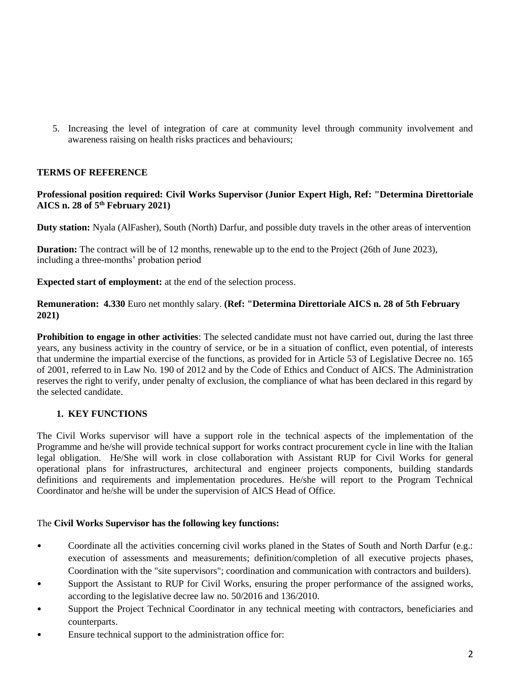5. Increasing the level of integration of care at community level through community involvement and awareness raising on health risks practices and behaviours;

### **TERMS OF REFERENCE**

#### **Professional position required: Civil Works Supervisor (Junior Expert High, Ref: "Determina Direttoriale AICS n. 28 of 5th February 2021)**

**Duty station:** Nyala (AlFasher), South (North) Darfur, and possible duty travels in the other areas of intervention

**Duration:** The contract will be of 12 months, renewable up to the end to the Project (26th of June 2023), including a three-months' probation period

**Expected start of employment:** at the end of the selection process.

#### **Remuneration: 4.330** Euro net monthly salary. **(Ref: "Determina Direttoriale AICS n. 28 of 5th February 2021)**

**Prohibition to engage in other activities**: The selected candidate must not have carried out, during the last three years, any business activity in the country of service, or be in a situation of conflict, even potential, of interests that undermine the impartial exercise of the functions, as provided for in Article 53 of Legislative Decree no. 165 of 2001, referred to in Law No. 190 of 2012 and by the Code of Ethics and Conduct of AICS. The Administration reserves the right to verify, under penalty of exclusion, the compliance of what has been declared in this regard by the selected candidate.

#### **1. KEY FUNCTIONS**

The Civil Works supervisor will have a support role in the technical aspects of the implementation of the Programme and he/she will provide technical support for works contract procurement cycle in line with the Italian legal obligation. He/She will work in close collaboration with Assistant RUP for Civil Works for general operational plans for infrastructures, architectural and engineer projects components, building standards definitions and requirements and implementation procedures. He/she will report to the Program Technical Coordinator and he/she will be under the supervision of AICS Head of Office.

#### The **Civil Works Supervisor has the following key functions:**

- Coordinate all the activities concerning civil works planed in the States of South and North Darfur (e.g.: execution of assessments and measurements; definition/completion of all executive projects phases, Coordination with the "site supervisors"; coordination and communication with contractors and builders).
- Support the Assistant to RUP for Civil Works, ensuring the proper performance of the assigned works, according to the legislative decree law no. 50/2016 and 136/2010.
- Support the Project Technical Coordinator in any technical meeting with contractors, beneficiaries and counterparts.
- Ensure technical support to the administration office for: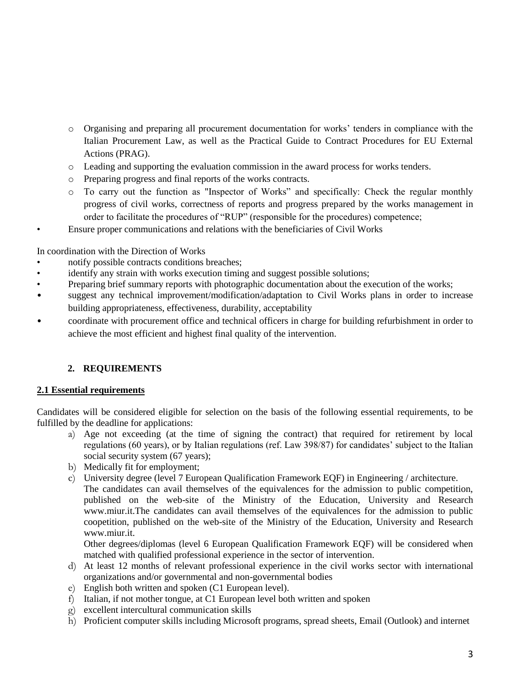- o Organising and preparing all procurement documentation for works' tenders in compliance with the Italian Procurement Law, as well as the Practical Guide to Contract Procedures for EU External Actions (PRAG).
- o Leading and supporting the evaluation commission in the award process for works tenders.
- o Preparing progress and final reports of the works contracts.
- o To carry out the function as "Inspector of Works" and specifically: Check the regular monthly progress of civil works, correctness of reports and progress prepared by the works management in order to facilitate the procedures of "RUP" (responsible for the procedures) competence;
- Ensure proper communications and relations with the beneficiaries of Civil Works

In coordination with the Direction of Works

- notify possible contracts conditions breaches;
- identify any strain with works execution timing and suggest possible solutions;
- Preparing brief summary reports with photographic documentation about the execution of the works;
- suggest any technical improvement/modification/adaptation to Civil Works plans in order to increase building appropriateness, effectiveness, durability, acceptability
- coordinate with procurement office and technical officers in charge for building refurbishment in order to achieve the most efficient and highest final quality of the intervention.

#### **2. REQUIREMENTS**

#### **2.1 Essential requirements**

Candidates will be considered eligible for selection on the basis of the following essential requirements, to be fulfilled by the deadline for applications:

- a) Age not exceeding (at the time of signing the contract) that required for retirement by local regulations (60 years), or by Italian regulations (ref. Law 398/87) for candidates' subject to the Italian social security system (67 years);
- b) Medically fit for employment;
- c) University degree (level 7 European Qualification Framework EQF) in Engineering / architecture.
	- The candidates can avail themselves of the equivalences for the admission to public competition, published on the web-site of the Ministry of the Education, University and Research www.miur.it.The candidates can avail themselves of the equivalences for the admission to public coopetition, published on the web-site of the Ministry of the Education, University and Research www.miur.it.

Other degrees/diplomas (level 6 European Qualification Framework EQF) will be considered when matched with qualified professional experience in the sector of intervention.

- d) At least 12 months of relevant professional experience in the civil works sector with international organizations and/or governmental and non-governmental bodies
- e) English both written and spoken (C1 European level).
- f) Italian, if not mother tongue, at C1 European level both written and spoken
- g) excellent intercultural communication skills
- h) Proficient computer skills including Microsoft programs, spread sheets, Email (Outlook) and internet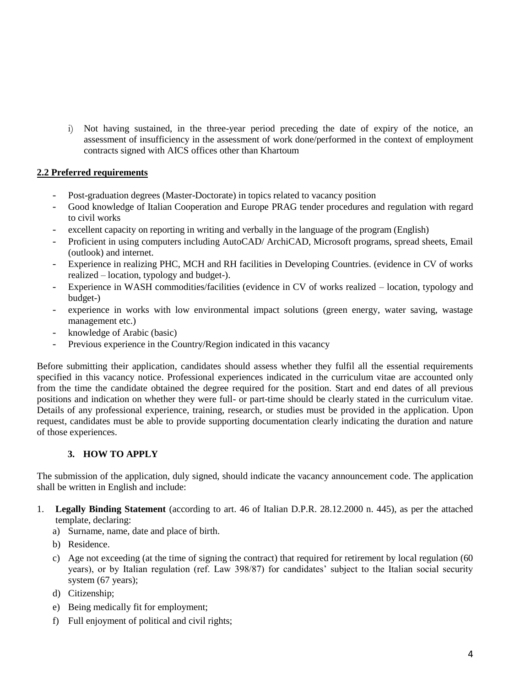i) Not having sustained, in the three-year period preceding the date of expiry of the notice, an assessment of insufficiency in the assessment of work done/performed in the context of employment contracts signed with AICS offices other than Khartoum

### **2.2 Preferred requirements**

- *-* Post-graduation degrees (Master-Doctorate) in topics related to vacancy position
- *-* Good knowledge of Italian Cooperation and Europe PRAG tender procedures and regulation with regard to civil works
- excellent capacity on reporting in writing and verbally in the language of the program (English)
- *-* Proficient in using computers including AutoCAD/ ArchiCAD, Microsoft programs, spread sheets, Email (outlook) and internet.
- *-* Experience in realizing PHC, MCH and RH facilities in Developing Countries. (evidence in CV of works realized – location, typology and budget-).
- *-* Experience in WASH commodities/facilities (evidence in CV of works realized location, typology and budget-)
- *-* experience in works with low environmental impact solutions (green energy, water saving, wastage management etc.)
- *-* knowledge of Arabic (basic)
- *-* Previous experience in the Country/Region indicated in this vacancy

Before submitting their application, candidates should assess whether they fulfil all the essential requirements specified in this vacancy notice. Professional experiences indicated in the curriculum vitae are accounted only from the time the candidate obtained the degree required for the position. Start and end dates of all previous positions and indication on whether they were full- or part-time should be clearly stated in the curriculum vitae. Details of any professional experience, training, research, or studies must be provided in the application. Upon request, candidates must be able to provide supporting documentation clearly indicating the duration and nature of those experiences.

### **3. HOW TO APPLY**

The submission of the application, duly signed, should indicate the vacancy announcement code. The application shall be written in English and include:

- 1. **Legally Binding Statement** (according to art. 46 of Italian D.P.R. 28.12.2000 n. 445), as per the attached template, declaring:
	- a) Surname, name, date and place of birth.
	- b) Residence.
	- c) Age not exceeding (at the time of signing the contract) that required for retirement by local regulation (60 years), or by Italian regulation (ref. Law 398/87) for candidates' subject to the Italian social security system (67 years);
	- d) Citizenship;
	- e) Being medically fit for employment;
	- f) Full enjoyment of political and civil rights;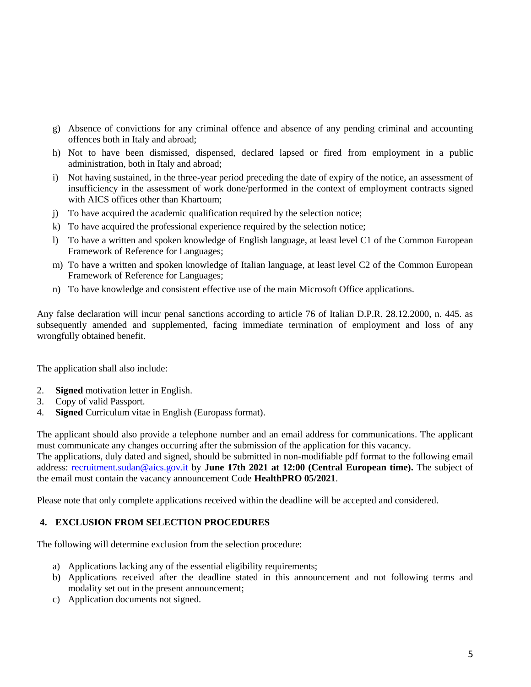- g) Absence of convictions for any criminal offence and absence of any pending criminal and accounting offences both in Italy and abroad;
- h) Not to have been dismissed, dispensed, declared lapsed or fired from employment in a public administration, both in Italy and abroad;
- i) Not having sustained, in the three-year period preceding the date of expiry of the notice, an assessment of insufficiency in the assessment of work done/performed in the context of employment contracts signed with AICS offices other than Khartoum;
- j) To have acquired the academic qualification required by the selection notice;
- k) To have acquired the professional experience required by the selection notice;
- l) To have a written and spoken knowledge of English language, at least level C1 of the Common European Framework of Reference for Languages;
- m) To have a written and spoken knowledge of Italian language, at least level C2 of the Common European Framework of Reference for Languages;
- n) To have knowledge and consistent effective use of the main Microsoft Office applications.

Any false declaration will incur penal sanctions according to article 76 of Italian D.P.R. 28.12.2000, n. 445. as subsequently amended and supplemented, facing immediate termination of employment and loss of any wrongfully obtained benefit.

The application shall also include:

- 2. **Signed** motivation letter in English.
- 3. Copy of valid Passport.
- 4. **Signed** Curriculum vitae in English (Europass format).

The applicant should also provide a telephone number and an email address for communications. The applicant must communicate any changes occurring after the submission of the application for this vacancy.

The applications, duly dated and signed, should be submitted in non-modifiable pdf format to the following email address: [recruitment.sudan@aics.gov.it](mailto:recruitment.sudan@aics.gov.it) by **June 17th 2021 at 12:00 (Central European time).** The subject of the email must contain the vacancy announcement Code **HealthPRO 05/2021**.

Please note that only complete applications received within the deadline will be accepted and considered.

#### **4. EXCLUSION FROM SELECTION PROCEDURES**

The following will determine exclusion from the selection procedure:

- a) Applications lacking any of the essential eligibility requirements;
- b) Applications received after the deadline stated in this announcement and not following terms and modality set out in the present announcement;
- c) Application documents not signed.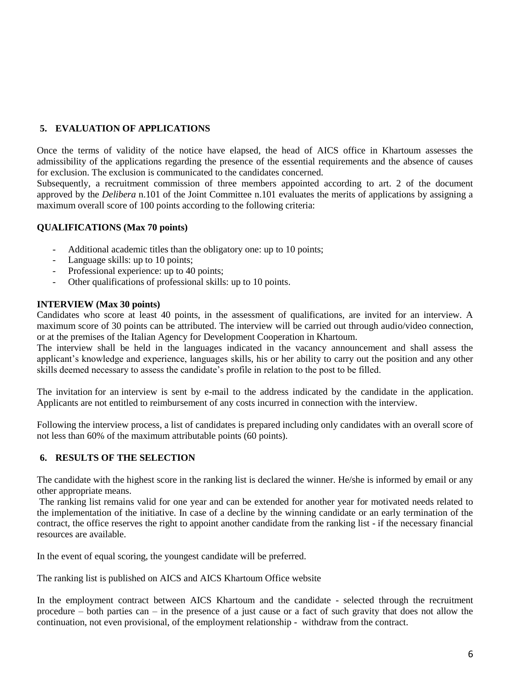## **5. EVALUATION OF APPLICATIONS**

Once the terms of validity of the notice have elapsed, the head of AICS office in Khartoum assesses the admissibility of the applications regarding the presence of the essential requirements and the absence of causes for exclusion. The exclusion is communicated to the candidates concerned.

Subsequently, a recruitment commission of three members appointed according to art. 2 of the document approved by the *Delibera* n.101 of the Joint Committee n.101 evaluates the merits of applications by assigning a maximum overall score of 100 points according to the following criteria:

#### **QUALIFICATIONS (Max 70 points)**

- *-* Additional academic titles than the obligatory one: up to 10 points;
- *-* Language skills: up to 10 points;
- Professional experience: up to 40 points;
- *-* Other qualifications of professional skills: up to 10 points.

#### **INTERVIEW (Max 30 points)**

Candidates who score at least 40 points, in the assessment of qualifications, are invited for an interview. A maximum score of 30 points can be attributed. The interview will be carried out through audio/video connection, or at the premises of the Italian Agency for Development Cooperation in Khartoum.

The interview shall be held in the languages indicated in the vacancy announcement and shall assess the applicant's knowledge and experience, languages skills, his or her ability to carry out the position and any other skills deemed necessary to assess the candidate's profile in relation to the post to be filled.

The invitation for an interview is sent by e-mail to the address indicated by the candidate in the application. Applicants are not entitled to reimbursement of any costs incurred in connection with the interview.

Following the interview process, a list of candidates is prepared including only candidates with an overall score of not less than 60% of the maximum attributable points (60 points).

### **6. RESULTS OF THE SELECTION**

The candidate with the highest score in the ranking list is declared the winner. He/she is informed by email or any other appropriate means.

The ranking list remains valid for one year and can be extended for another year for motivated needs related to the implementation of the initiative. In case of a decline by the winning candidate or an early termination of the contract, the office reserves the right to appoint another candidate from the ranking list - if the necessary financial resources are available.

In the event of equal scoring, the youngest candidate will be preferred.

The ranking list is published on AICS and AICS Khartoum Office website

In the employment contract between AICS Khartoum and the candidate - selected through the recruitment procedure – both parties can – in the presence of a just cause or a fact of such gravity that does not allow the continuation, not even provisional, of the employment relationship - withdraw from the contract.